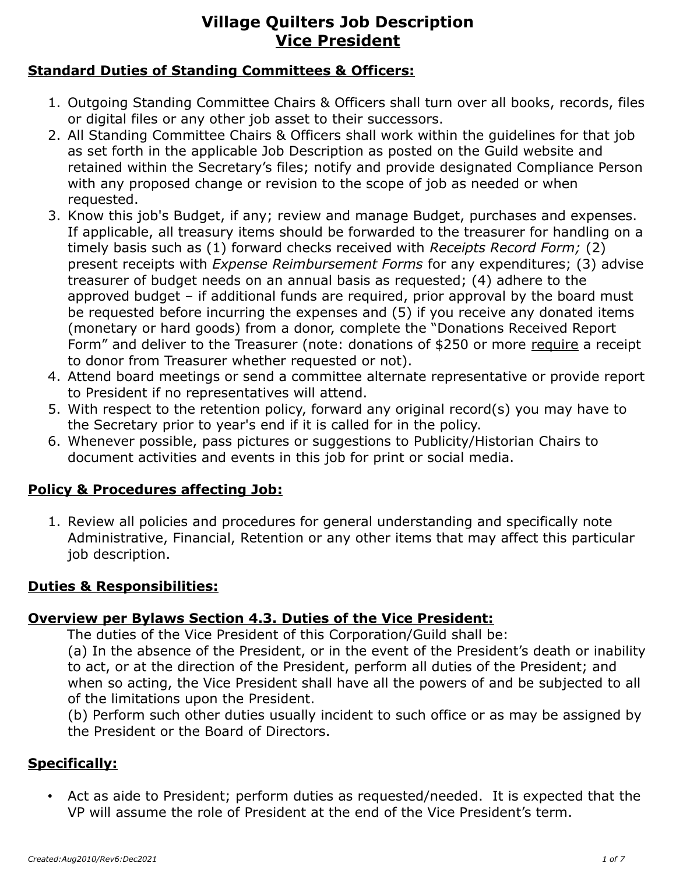#### **Standard Duties of Standing Committees & Officers:**

- 1. Outgoing Standing Committee Chairs & Officers shall turn over all books, records, files or digital files or any other job asset to their successors.
- 2. All Standing Committee Chairs & Officers shall work within the guidelines for that job as set forth in the applicable Job Description as posted on the Guild website and retained within the Secretary's files; notify and provide designated Compliance Person with any proposed change or revision to the scope of job as needed or when requested.
- 3. Know this job's Budget, if any; review and manage Budget, purchases and expenses. If applicable, all treasury items should be forwarded to the treasurer for handling on a timely basis such as (1) forward checks received with *Receipts Record Form;* (2) present receipts with *Expense Reimbursement Forms* for any expenditures; (3) advise treasurer of budget needs on an annual basis as requested; (4) adhere to the approved budget – if additional funds are required, prior approval by the board must be requested before incurring the expenses and (5) if you receive any donated items (monetary or hard goods) from a donor, complete the "Donations Received Report Form" and deliver to the Treasurer (note: donations of \$250 or more require a receipt to donor from Treasurer whether requested or not).
- 4. Attend board meetings or send a committee alternate representative or provide report to President if no representatives will attend.
- 5. With respect to the retention policy, forward any original record(s) you may have to the Secretary prior to year's end if it is called for in the policy.
- 6. Whenever possible, pass pictures or suggestions to Publicity/Historian Chairs to document activities and events in this job for print or social media.

#### **Policy & Procedures affecting Job:**

1. Review all policies and procedures for general understanding and specifically note Administrative, Financial, Retention or any other items that may affect this particular job description.

#### **Duties & Responsibilities:**

#### **Overview per Bylaws Section 4.3. Duties of the Vice President:**

The duties of the Vice President of this Corporation/Guild shall be:

(a) In the absence of the President, or in the event of the President's death or inability to act, or at the direction of the President, perform all duties of the President; and when so acting, the Vice President shall have all the powers of and be subjected to all of the limitations upon the President.

(b) Perform such other duties usually incident to such office or as may be assigned by the President or the Board of Directors.

#### **Specifically:**

• Act as aide to President; perform duties as requested/needed. It is expected that the VP will assume the role of President at the end of the Vice President's term.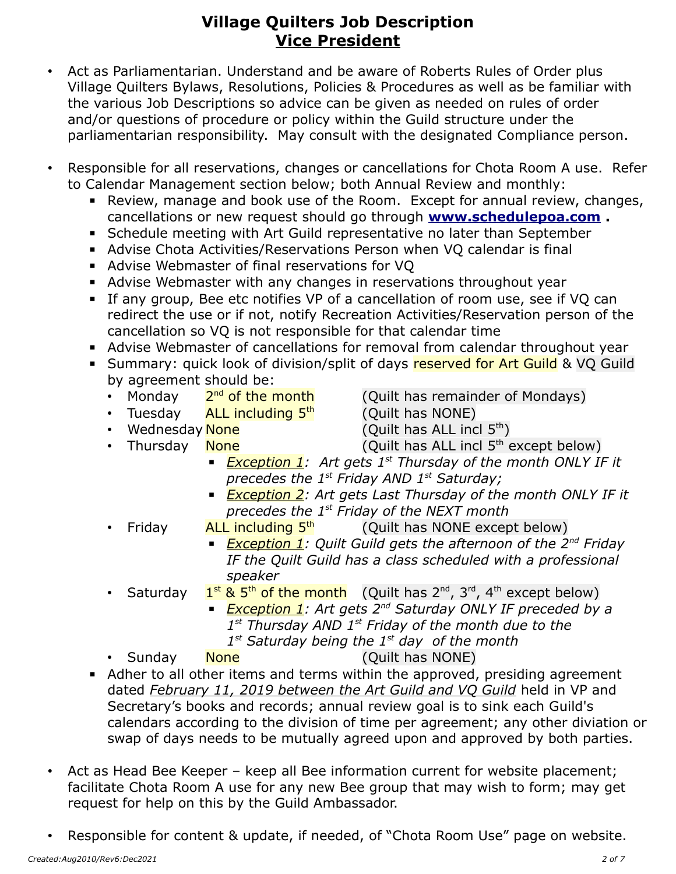- Act as Parliamentarian. Understand and be aware of Roberts Rules of Order plus Village Quilters Bylaws, Resolutions, Policies & Procedures as well as be familiar with the various Job Descriptions so advice can be given as needed on rules of order and/or questions of procedure or policy within the Guild structure under the parliamentarian responsibility. May consult with the designated Compliance person.
- Responsible for all reservations, changes or cancellations for Chota Room A use. Refer to Calendar Management section below; both Annual Review and monthly:
	- Review, manage and book use of the Room. Except for annual review, changes, cancellations or new request should go through **[www.schedulepoa.com](http://www.schedulepoa.com/) .**
	- **EXEDENT Schedule meeting with Art Guild representative no later than September**
	- Advise Chota Activities/Reservations Person when VO calendar is final
	- Advise Webmaster of final reservations for VQ
	- Advise Webmaster with any changes in reservations throughout year
	- **EXT** If any group, Bee etc notifies VP of a cancellation of room use, see if VQ can redirect the use or if not, notify Recreation Activities/Reservation person of the cancellation so VQ is not responsible for that calendar time
	- Advise Webmaster of cancellations for removal from calendar throughout year
	- **E** Summary: quick look of division/split of days reserved for Art Guild & VQ Guild by agreement should be:
		- Monday 2<sup>nd</sup> of the month
		- Tuesday  $ALL$  including  $5<sup>th</sup>$  (Quilt has NONE)
- (Quilt has remainder of Mondays)
	-
	- Wednesday  $None$  (Quilt has ALL incl  $5<sup>th</sup>$ )
		-
- 
- Thursday  $\overline{\text{None}}$  (Quilt has ALL incl  $5^{\text{th}}$  except below)
	- *Exception 1: Art gets 1st Thursday of the month ONLY IF it precedes the 1st Friday AND 1st Saturday;*
	- **Exception 2:** Art gets Last Thursday of the month ONLY IF it *precedes the 1st Friday of the NEXT month*
	- Friday **ALL including 5<sup>th</sup> (Quilt has NONE except below)** 
		- *Exception 1:* Quilt Guild gets the afternoon of the 2<sup>nd</sup> Friday *IF the Quilt Guild has a class scheduled with a professional speaker*
- **Saturday**  $1^{st}$  & 5<sup>th</sup> of the month (Quilt has 2<sup>nd</sup>, 3<sup>rd</sup>, 4<sup>th</sup> except below)
	- *Exception 1:* Art gets 2<sup>nd</sup> Saturday ONLY IF preceded by a *1 st Thursday AND 1st Friday of the month due to the* 
		- *1 st Saturday being the 1st day of the month*
- Sunday None (Quilt has NONE)
- Adher to all other items and terms within the approved, presiding agreement dated *February 11, 2019 between the Art Guild and VQ Guild* held in VP and Secretary's books and records; annual review goal is to sink each Guild's calendars according to the division of time per agreement; any other diviation or swap of days needs to be mutually agreed upon and approved by both parties.
- Act as Head Bee Keeper keep all Bee information current for website placement; facilitate Chota Room A use for any new Bee group that may wish to form; may get request for help on this by the Guild Ambassador.
- Responsible for content & update, if needed, of "Chota Room Use" page on website.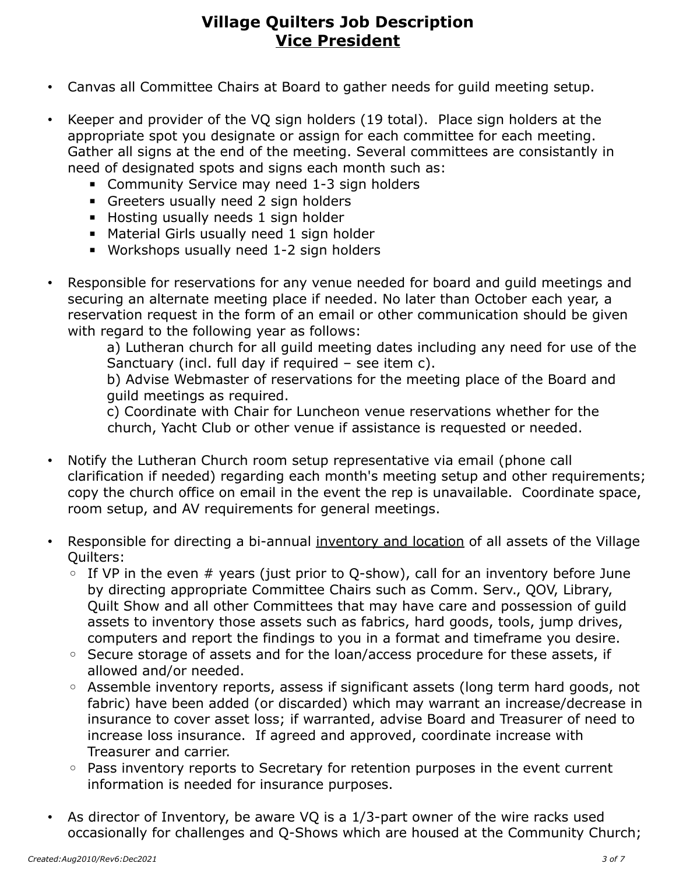- Canvas all Committee Chairs at Board to gather needs for guild meeting setup.
- Keeper and provider of the VQ sign holders (19 total). Place sign holders at the appropriate spot you designate or assign for each committee for each meeting. Gather all signs at the end of the meeting. Several committees are consistantly in need of designated spots and signs each month such as:
	- **EXECOMMUNICEY COMMUNISH** Community Service may need 1-3 sign holders
	- **EXEC** Greeters usually need 2 sign holders
	- Hosting usually needs 1 sign holder
	- Material Girls usually need 1 sign holder
	- Workshops usually need 1-2 sign holders
- Responsible for reservations for any venue needed for board and guild meetings and securing an alternate meeting place if needed. No later than October each year, a reservation request in the form of an email or other communication should be given with regard to the following year as follows:

a) Lutheran church for all guild meeting dates including any need for use of the Sanctuary (incl. full day if required – see item c).

b) Advise Webmaster of reservations for the meeting place of the Board and guild meetings as required.

c) Coordinate with Chair for Luncheon venue reservations whether for the church, Yacht Club or other venue if assistance is requested or needed.

- Notify the Lutheran Church room setup representative via email (phone call clarification if needed) regarding each month's meeting setup and other requirements; copy the church office on email in the event the rep is unavailable. Coordinate space, room setup, and AV requirements for general meetings.
- Responsible for directing a bi-annual inventory and location of all assets of the Village Quilters:
	- $\circ$  If VP in the even # years (just prior to Q-show), call for an inventory before June by directing appropriate Committee Chairs such as Comm. Serv., QOV, Library, Quilt Show and all other Committees that may have care and possession of guild assets to inventory those assets such as fabrics, hard goods, tools, jump drives, computers and report the findings to you in a format and timeframe you desire.
	- Secure storage of assets and for the loan/access procedure for these assets, if allowed and/or needed.
	- Assemble inventory reports, assess if significant assets (long term hard goods, not fabric) have been added (or discarded) which may warrant an increase/decrease in insurance to cover asset loss; if warranted, advise Board and Treasurer of need to increase loss insurance. If agreed and approved, coordinate increase with Treasurer and carrier.
	- Pass inventory reports to Secretary for retention purposes in the event current information is needed for insurance purposes.
- As director of Inventory, be aware VQ is a 1/3-part owner of the wire racks used occasionally for challenges and Q-Shows which are housed at the Community Church;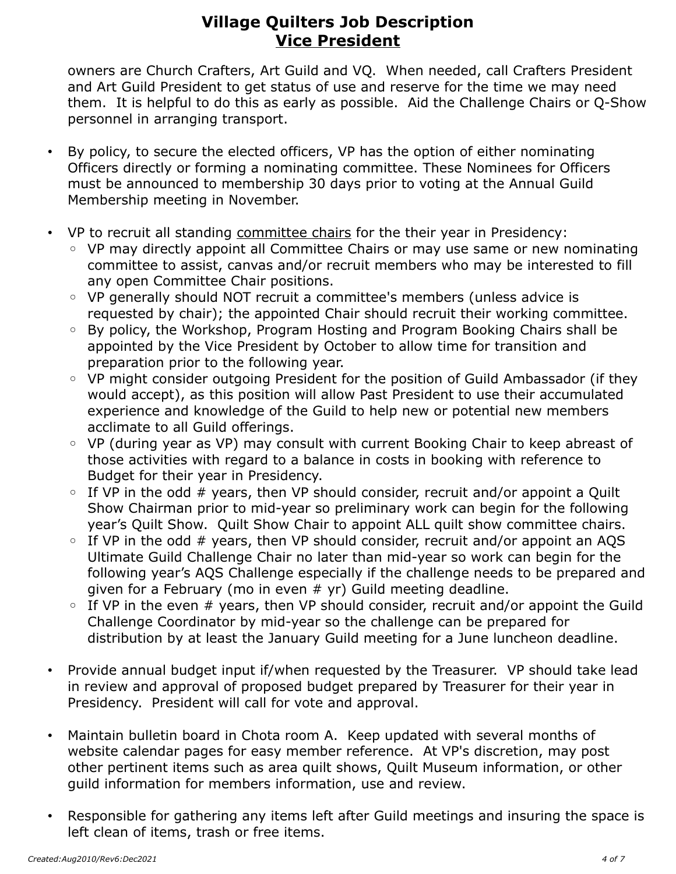owners are Church Crafters, Art Guild and VQ. When needed, call Crafters President and Art Guild President to get status of use and reserve for the time we may need them. It is helpful to do this as early as possible. Aid the Challenge Chairs or Q-Show personnel in arranging transport.

- By policy, to secure the elected officers, VP has the option of either nominating Officers directly or forming a nominating committee. These Nominees for Officers must be announced to membership 30 days prior to voting at the Annual Guild Membership meeting in November.
- VP to recruit all standing committee chairs for the their year in Presidency:
	- VP may directly appoint all Committee Chairs or may use same or new nominating committee to assist, canvas and/or recruit members who may be interested to fill any open Committee Chair positions.
	- VP generally should NOT recruit a committee's members (unless advice is requested by chair); the appointed Chair should recruit their working committee.
	- By policy, the Workshop, Program Hosting and Program Booking Chairs shall be appointed by the Vice President by October to allow time for transition and preparation prior to the following year.
	- VP might consider outgoing President for the position of Guild Ambassador (if they would accept), as this position will allow Past President to use their accumulated experience and knowledge of the Guild to help new or potential new members acclimate to all Guild offerings.
	- VP (during year as VP) may consult with current Booking Chair to keep abreast of those activities with regard to a balance in costs in booking with reference to Budget for their year in Presidency.
	- If VP in the odd # years, then VP should consider, recruit and/or appoint a Quilt Show Chairman prior to mid-year so preliminary work can begin for the following year's Quilt Show. Quilt Show Chair to appoint ALL quilt show committee chairs.
	- If VP in the odd # years, then VP should consider, recruit and/or appoint an AQS Ultimate Guild Challenge Chair no later than mid-year so work can begin for the following year's AQS Challenge especially if the challenge needs to be prepared and given for a February (mo in even  $#$  yr) Guild meeting deadline.
	- If VP in the even # years, then VP should consider, recruit and/or appoint the Guild Challenge Coordinator by mid-year so the challenge can be prepared for distribution by at least the January Guild meeting for a June luncheon deadline.
- Provide annual budget input if/when requested by the Treasurer. VP should take lead in review and approval of proposed budget prepared by Treasurer for their year in Presidency. President will call for vote and approval.
- Maintain bulletin board in Chota room A. Keep updated with several months of website calendar pages for easy member reference. At VP's discretion, may post other pertinent items such as area quilt shows, Quilt Museum information, or other guild information for members information, use and review.
- Responsible for gathering any items left after Guild meetings and insuring the space is left clean of items, trash or free items.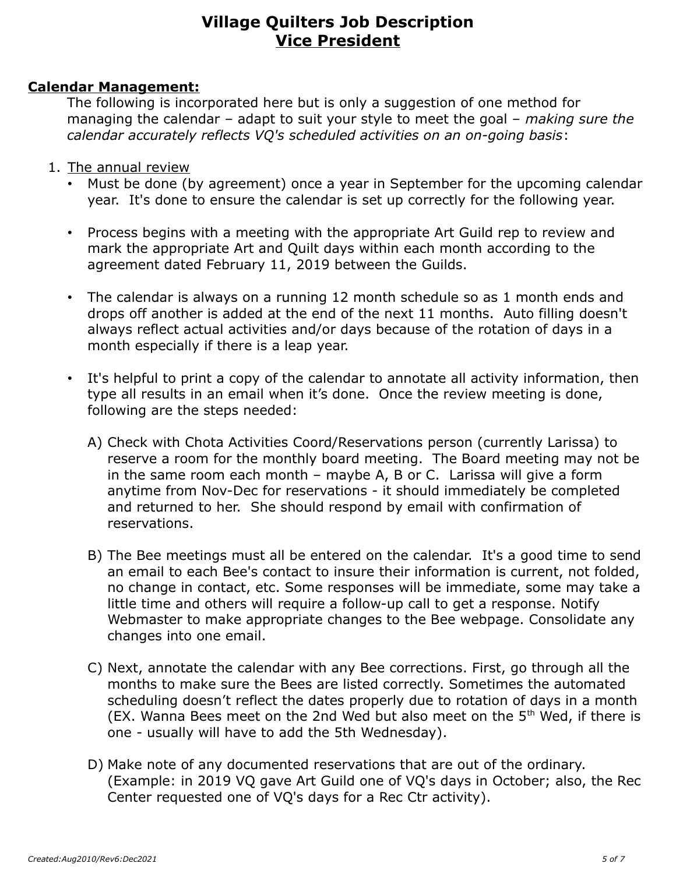#### **Calendar Management:**

The following is incorporated here but is only a suggestion of one method for managing the calendar – adapt to suit your style to meet the goal – *making sure the calendar accurately reflects VQ's scheduled activities on an on-going basis*:

- 1. The annual review
	- Must be done (by agreement) once a year in September for the upcoming calendar year. It's done to ensure the calendar is set up correctly for the following year.
	- Process begins with a meeting with the appropriate Art Guild rep to review and mark the appropriate Art and Quilt days within each month according to the agreement dated February 11, 2019 between the Guilds.
	- The calendar is always on a running 12 month schedule so as 1 month ends and drops off another is added at the end of the next 11 months. Auto filling doesn't always reflect actual activities and/or days because of the rotation of days in a month especially if there is a leap year.
	- It's helpful to print a copy of the calendar to annotate all activity information, then type all results in an email when it's done. Once the review meeting is done, following are the steps needed:
		- A) Check with Chota Activities Coord/Reservations person (currently Larissa) to reserve a room for the monthly board meeting. The Board meeting may not be in the same room each month – maybe A, B or C. Larissa will give a form anytime from Nov-Dec for reservations - it should immediately be completed and returned to her. She should respond by email with confirmation of reservations.
		- B) The Bee meetings must all be entered on the calendar. It's a good time to send an email to each Bee's contact to insure their information is current, not folded, no change in contact, etc. Some responses will be immediate, some may take a little time and others will require a follow-up call to get a response. Notify Webmaster to make appropriate changes to the Bee webpage. Consolidate any changes into one email.
		- C) Next, annotate the calendar with any Bee corrections. First, go through all the months to make sure the Bees are listed correctly. Sometimes the automated scheduling doesn't reflect the dates properly due to rotation of days in a month (EX. Wanna Bees meet on the 2nd Wed but also meet on the  $5<sup>th</sup>$  Wed, if there is one - usually will have to add the 5th Wednesday).
		- D) Make note of any documented reservations that are out of the ordinary. (Example: in 2019 VQ gave Art Guild one of VQ's days in October; also, the Rec Center requested one of VQ's days for a Rec Ctr activity).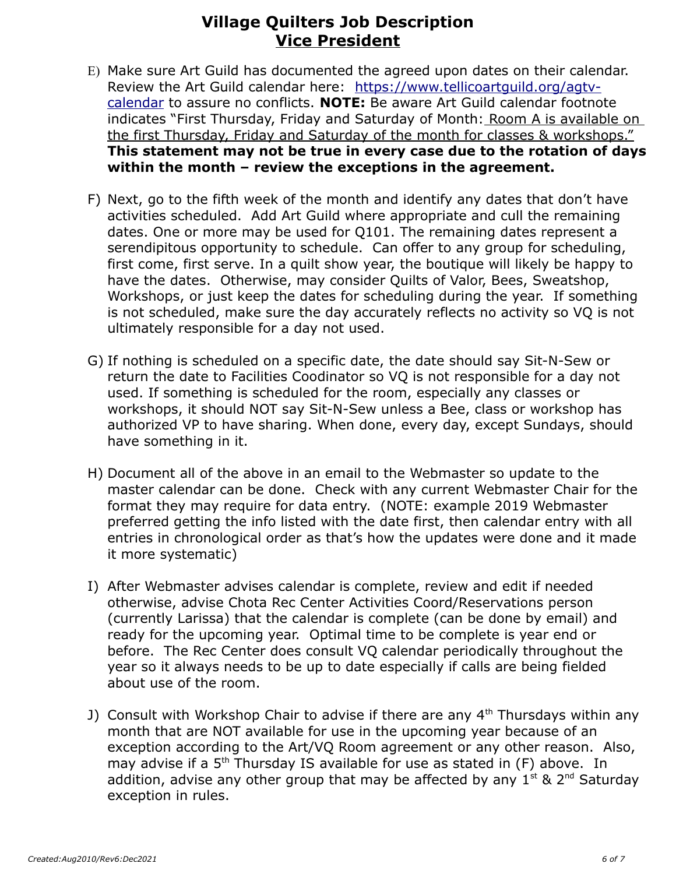- E) Make sure Art Guild has documented the agreed upon dates on their calendar. Review the Art Guild calendar here: https://www.tellicoartquild.org/agtv[calendar](https://www.tellicoartguild.org/agtv-calendar) to assure no conflicts. **NOTE:** Be aware Art Guild calendar footnote indicates "First Thursday, Friday and Saturday of Month: Room A is available on the first Thursday, Friday and Saturday of the month for classes & workshops." **This statement may not be true in every case due to the rotation of days within the month – review the exceptions in the agreement.**
- F) Next, go to the fifth week of the month and identify any dates that don't have activities scheduled. Add Art Guild where appropriate and cull the remaining dates. One or more may be used for Q101. The remaining dates represent a serendipitous opportunity to schedule. Can offer to any group for scheduling, first come, first serve. In a quilt show year, the boutique will likely be happy to have the dates. Otherwise, may consider Quilts of Valor, Bees, Sweatshop, Workshops, or just keep the dates for scheduling during the year. If something is not scheduled, make sure the day accurately reflects no activity so VQ is not ultimately responsible for a day not used.
- G) If nothing is scheduled on a specific date, the date should say Sit-N-Sew or return the date to Facilities Coodinator so VQ is not responsible for a day not used. If something is scheduled for the room, especially any classes or workshops, it should NOT say Sit-N-Sew unless a Bee, class or workshop has authorized VP to have sharing. When done, every day, except Sundays, should have something in it.
- H) Document all of the above in an email to the Webmaster so update to the master calendar can be done. Check with any current Webmaster Chair for the format they may require for data entry. (NOTE: example 2019 Webmaster preferred getting the info listed with the date first, then calendar entry with all entries in chronological order as that's how the updates were done and it made it more systematic)
- I) After Webmaster advises calendar is complete, review and edit if needed otherwise, advise Chota Rec Center Activities Coord/Reservations person (currently Larissa) that the calendar is complete (can be done by email) and ready for the upcoming year. Optimal time to be complete is year end or before. The Rec Center does consult VQ calendar periodically throughout the year so it always needs to be up to date especially if calls are being fielded about use of the room.
- J) Consult with Workshop Chair to advise if there are any  $4<sup>th</sup>$  Thursdays within any month that are NOT available for use in the upcoming year because of an exception according to the Art/VQ Room agreement or any other reason. Also, may advise if a 5<sup>th</sup> Thursday IS available for use as stated in (F) above. In addition, advise any other group that may be affected by any  $1^{st}$  & 2<sup>nd</sup> Saturday exception in rules.